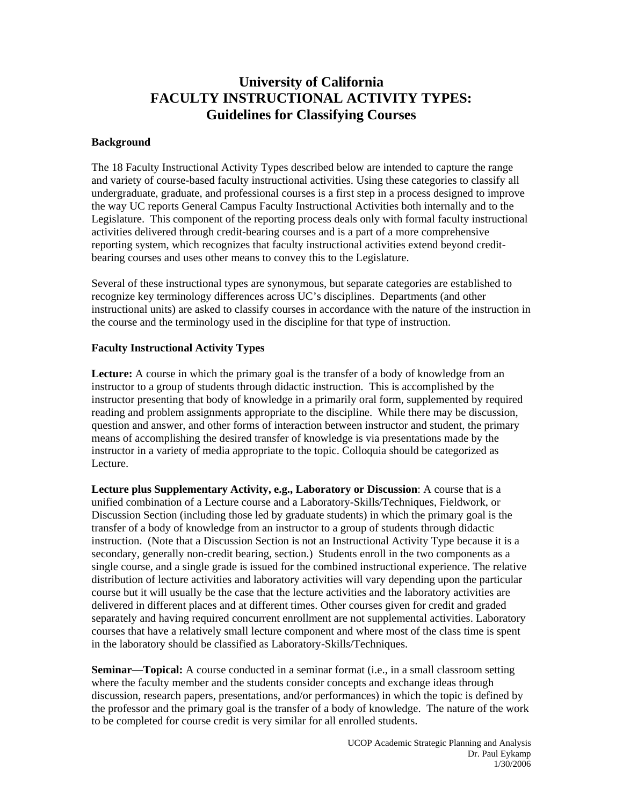## **University of California FACULTY INSTRUCTIONAL ACTIVITY TYPES: Guidelines for Classifying Courses**

## **Background**

The 18 Faculty Instructional Activity Types described below are intended to capture the range and variety of course-based faculty instructional activities. Using these categories to classify all undergraduate, graduate, and professional courses is a first step in a process designed to improve the way UC reports General Campus Faculty Instructional Activities both internally and to the Legislature. This component of the reporting process deals only with formal faculty instructional activities delivered through credit-bearing courses and is a part of a more comprehensive reporting system, which recognizes that faculty instructional activities extend beyond creditbearing courses and uses other means to convey this to the Legislature.

Several of these instructional types are synonymous, but separate categories are established to recognize key terminology differences across UC's disciplines. Departments (and other instructional units) are asked to classify courses in accordance with the nature of the instruction in the course and the terminology used in the discipline for that type of instruction.

## **Faculty Instructional Activity Types**

**Lecture:** A course in which the primary goal is the transfer of a body of knowledge from an instructor to a group of students through didactic instruction. This is accomplished by the instructor presenting that body of knowledge in a primarily oral form, supplemented by required reading and problem assignments appropriate to the discipline. While there may be discussion, question and answer, and other forms of interaction between instructor and student, the primary means of accomplishing the desired transfer of knowledge is via presentations made by the instructor in a variety of media appropriate to the topic. Colloquia should be categorized as Lecture.

**Lecture plus Supplementary Activity, e.g., Laboratory or Discussion**: A course that is a unified combination of a Lecture course and a Laboratory-Skills/Techniques, Fieldwork, or Discussion Section (including those led by graduate students) in which the primary goal is the transfer of a body of knowledge from an instructor to a group of students through didactic instruction. (Note that a Discussion Section is not an Instructional Activity Type because it is a secondary, generally non-credit bearing, section.) Students enroll in the two components as a single course, and a single grade is issued for the combined instructional experience. The relative distribution of lecture activities and laboratory activities will vary depending upon the particular course but it will usually be the case that the lecture activities and the laboratory activities are delivered in different places and at different times. Other courses given for credit and graded separately and having required concurrent enrollment are not supplemental activities. Laboratory courses that have a relatively small lecture component and where most of the class time is spent in the laboratory should be classified as Laboratory-Skills/Techniques.

**Seminar—Topical:** A course conducted in a seminar format (i.e., in a small classroom setting where the faculty member and the students consider concepts and exchange ideas through discussion, research papers, presentations, and/or performances) in which the topic is defined by the professor and the primary goal is the transfer of a body of knowledge. The nature of the work to be completed for course credit is very similar for all enrolled students.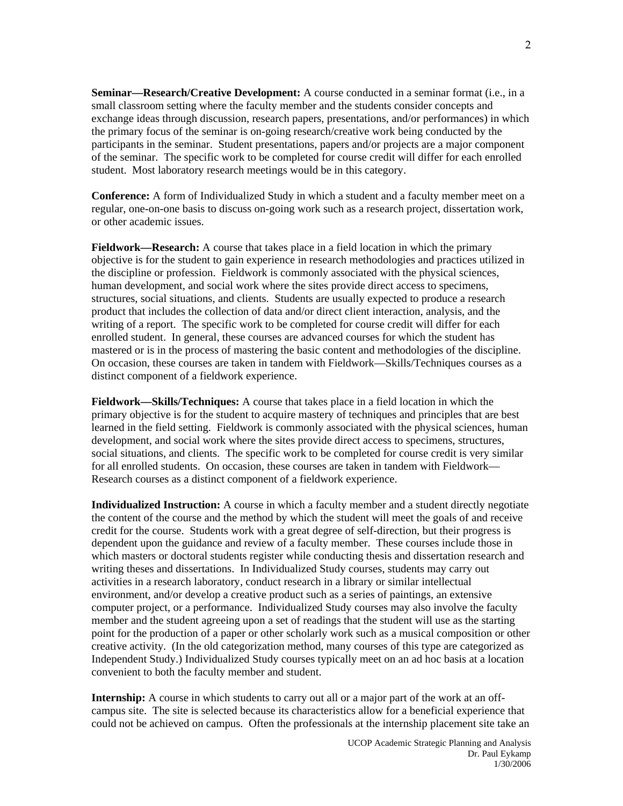**Seminar—Research/Creative Development:** A course conducted in a seminar format (i.e., in a small classroom setting where the faculty member and the students consider concepts and exchange ideas through discussion, research papers, presentations, and/or performances) in which the primary focus of the seminar is on-going research/creative work being conducted by the participants in the seminar. Student presentations, papers and/or projects are a major component of the seminar. The specific work to be completed for course credit will differ for each enrolled student. Most laboratory research meetings would be in this category.

**Conference:** A form of Individualized Study in which a student and a faculty member meet on a regular, one-on-one basis to discuss on-going work such as a research project, dissertation work, or other academic issues.

**Fieldwork—Research:** A course that takes place in a field location in which the primary objective is for the student to gain experience in research methodologies and practices utilized in the discipline or profession. Fieldwork is commonly associated with the physical sciences, human development, and social work where the sites provide direct access to specimens, structures, social situations, and clients. Students are usually expected to produce a research product that includes the collection of data and/or direct client interaction, analysis, and the writing of a report. The specific work to be completed for course credit will differ for each enrolled student. In general, these courses are advanced courses for which the student has mastered or is in the process of mastering the basic content and methodologies of the discipline. On occasion, these courses are taken in tandem with Fieldwork—Skills/Techniques courses as a distinct component of a fieldwork experience.

**Fieldwork—Skills/Techniques:** A course that takes place in a field location in which the primary objective is for the student to acquire mastery of techniques and principles that are best learned in the field setting. Fieldwork is commonly associated with the physical sciences, human development, and social work where the sites provide direct access to specimens, structures, social situations, and clients. The specific work to be completed for course credit is very similar for all enrolled students. On occasion, these courses are taken in tandem with Fieldwork— Research courses as a distinct component of a fieldwork experience.

**Individualized Instruction:** A course in which a faculty member and a student directly negotiate the content of the course and the method by which the student will meet the goals of and receive credit for the course. Students work with a great degree of self-direction, but their progress is dependent upon the guidance and review of a faculty member. These courses include those in which masters or doctoral students register while conducting thesis and dissertation research and writing theses and dissertations. In Individualized Study courses, students may carry out activities in a research laboratory, conduct research in a library or similar intellectual environment, and/or develop a creative product such as a series of paintings, an extensive computer project, or a performance. Individualized Study courses may also involve the faculty member and the student agreeing upon a set of readings that the student will use as the starting point for the production of a paper or other scholarly work such as a musical composition or other creative activity. (In the old categorization method, many courses of this type are categorized as Independent Study.) Individualized Study courses typically meet on an ad hoc basis at a location convenient to both the faculty member and student.

**Internship:** A course in which students to carry out all or a major part of the work at an offcampus site. The site is selected because its characteristics allow for a beneficial experience that could not be achieved on campus. Often the professionals at the internship placement site take an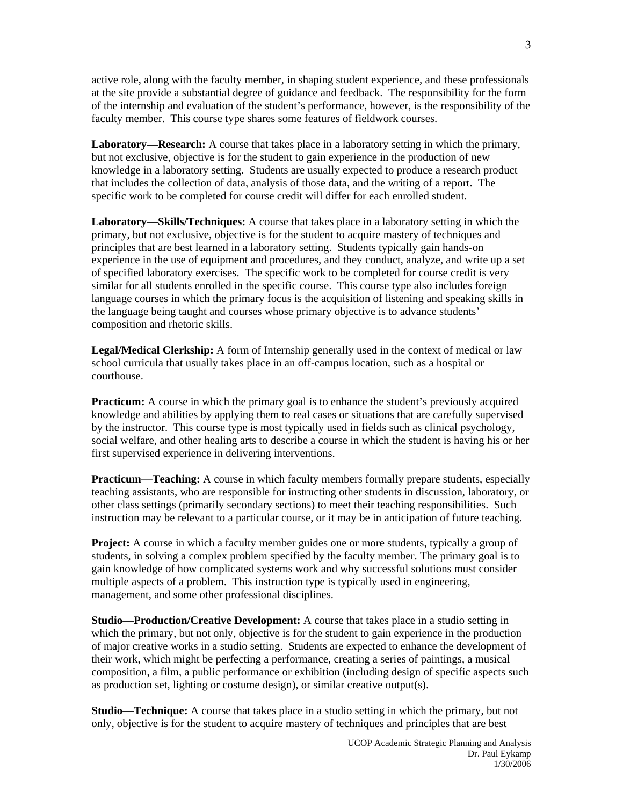active role, along with the faculty member, in shaping student experience, and these professionals at the site provide a substantial degree of guidance and feedback. The responsibility for the form of the internship and evaluation of the student's performance, however, is the responsibility of the faculty member. This course type shares some features of fieldwork courses.

**Laboratory—Research:** A course that takes place in a laboratory setting in which the primary, but not exclusive, objective is for the student to gain experience in the production of new knowledge in a laboratory setting. Students are usually expected to produce a research product that includes the collection of data, analysis of those data, and the writing of a report. The specific work to be completed for course credit will differ for each enrolled student.

**Laboratory—Skills/Techniques:** A course that takes place in a laboratory setting in which the primary, but not exclusive, objective is for the student to acquire mastery of techniques and principles that are best learned in a laboratory setting. Students typically gain hands-on experience in the use of equipment and procedures, and they conduct, analyze, and write up a set of specified laboratory exercises. The specific work to be completed for course credit is very similar for all students enrolled in the specific course. This course type also includes foreign language courses in which the primary focus is the acquisition of listening and speaking skills in the language being taught and courses whose primary objective is to advance students' composition and rhetoric skills.

**Legal/Medical Clerkship:** A form of Internship generally used in the context of medical or law school curricula that usually takes place in an off-campus location, such as a hospital or courthouse.

**Practicum:** A course in which the primary goal is to enhance the student's previously acquired knowledge and abilities by applying them to real cases or situations that are carefully supervised by the instructor. This course type is most typically used in fields such as clinical psychology, social welfare, and other healing arts to describe a course in which the student is having his or her first supervised experience in delivering interventions.

**Practicum—Teaching:** A course in which faculty members formally prepare students, especially teaching assistants, who are responsible for instructing other students in discussion, laboratory, or other class settings (primarily secondary sections) to meet their teaching responsibilities. Such instruction may be relevant to a particular course, or it may be in anticipation of future teaching.

**Project:** A course in which a faculty member guides one or more students, typically a group of students, in solving a complex problem specified by the faculty member. The primary goal is to gain knowledge of how complicated systems work and why successful solutions must consider multiple aspects of a problem. This instruction type is typically used in engineering, management, and some other professional disciplines.

**Studio—Production/Creative Development:** A course that takes place in a studio setting in which the primary, but not only, objective is for the student to gain experience in the production of major creative works in a studio setting. Students are expected to enhance the development of their work, which might be perfecting a performance, creating a series of paintings, a musical composition, a film, a public performance or exhibition (including design of specific aspects such as production set, lighting or costume design), or similar creative output(s).

**Studio—Technique:** A course that takes place in a studio setting in which the primary, but not only, objective is for the student to acquire mastery of techniques and principles that are best